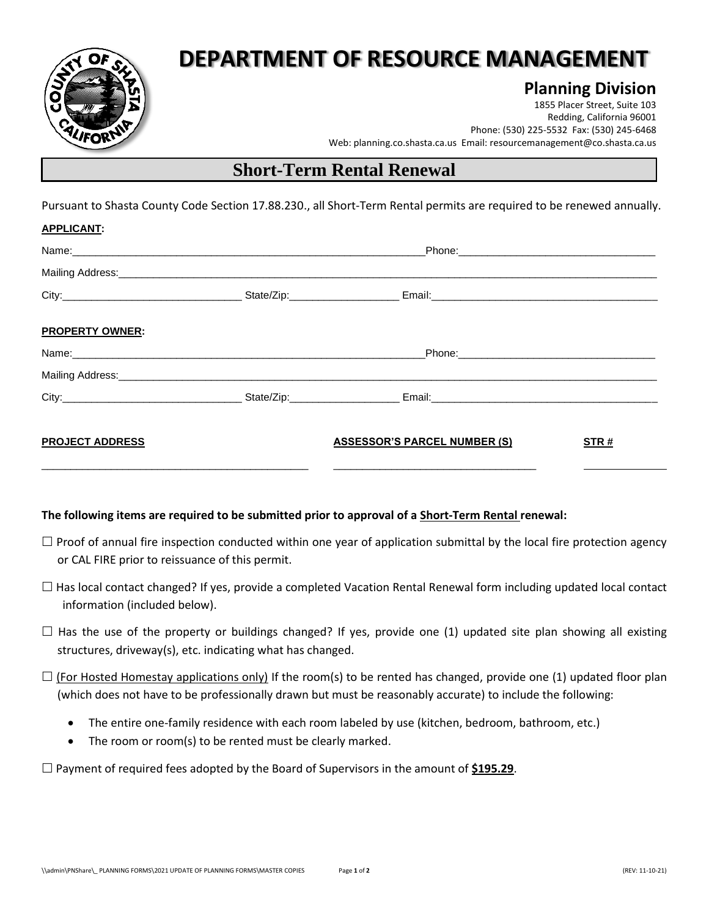

# **DEPARTMENT OF RESOURCE MANAGEMENT**

### **Planning Division**

1855 Placer Street, Suite 103 Redding, California 96001 Phone: (530) 225-5532 Fax: (530) 245-6468 Web: planning.co.shasta.ca.us Email[: resourcemanagement@co.shasta.ca.us](mailto:resourcemanagement@co.shasta.ca.us)

### **Short-Term Rental Renewal**

Pursuant to Shasta County Code Section 17.88.230., all Short-Term Rental permits are required to be renewed annually.

| <b>APPLICANT:</b>      |                                                                                                               |                                     |      |
|------------------------|---------------------------------------------------------------------------------------------------------------|-------------------------------------|------|
|                        | Phone: 2008 2010 2010 2010 2010 2010 2011 2020 2021 2021 2022 2022 2023 2024 2022 2023 2024 2022 2023 2024 20 |                                     |      |
|                        |                                                                                                               |                                     |      |
|                        |                                                                                                               |                                     |      |
| <b>PROPERTY OWNER:</b> |                                                                                                               |                                     |      |
|                        |                                                                                                               |                                     |      |
|                        |                                                                                                               |                                     |      |
|                        |                                                                                                               |                                     |      |
| <b>PROJECT ADDRESS</b> |                                                                                                               | <b>ASSESSOR'S PARCEL NUMBER (S)</b> | STR# |

#### **The following items are required to be submitted prior to approval of a Short-Term Rental renewal:**

- $\Box$  Proof of annual fire inspection conducted within one year of application submittal by the local fire protection agency or CAL FIRE prior to reissuance of this permit.
- $\Box$  Has local contact changed? If yes, provide a completed Vacation Rental Renewal form including updated local contact information (included below).
- $\Box$  Has the use of the property or buildings changed? If yes, provide one (1) updated site plan showing all existing structures, driveway(s), etc. indicating what has changed.
- $\Box$  (For Hosted Homestay applications only) If the room(s) to be rented has changed, provide one (1) updated floor plan (which does not have to be professionally drawn but must be reasonably accurate) to include the following:
	- The entire one-family residence with each room labeled by use (kitchen, bedroom, bathroom, etc.)
	- The room or room(s) to be rented must be clearly marked.

□ Payment of required fees adopted by the Board of Supervisors in the amount of \$195.29.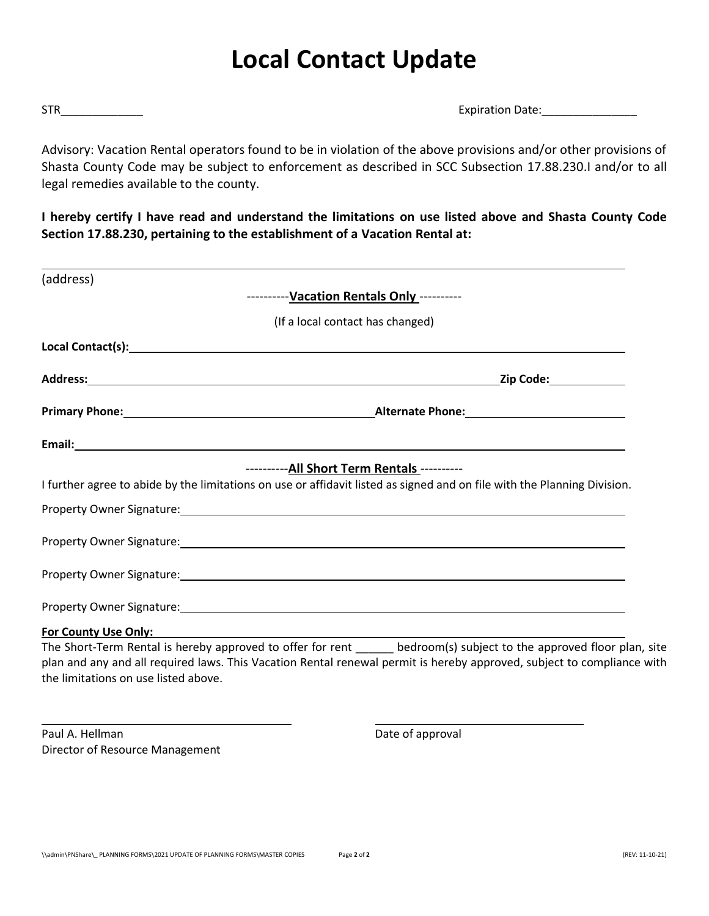# **Local Contact Update**

STR\_\_\_\_\_\_\_\_\_\_\_\_\_ Expiration Date:\_\_\_\_\_\_\_\_\_\_\_\_\_\_\_

Advisory: Vacation Rental operators found to be in violation of the above provisions and/or other provisions of Shasta County Code may be subject to enforcement as described in SCC Subsection 17.88.230.I and/or to all legal remedies available to the county.

**I hereby certify I have read and understand the limitations on use listed above and Shasta County Code Section 17.88.230, pertaining to the establishment of a Vacation Rental at:**

| (address)                            |                                                                                                                                                                                                                                                 |
|--------------------------------------|-------------------------------------------------------------------------------------------------------------------------------------------------------------------------------------------------------------------------------------------------|
|                                      | ---------- Vacation Rentals Only ----------                                                                                                                                                                                                     |
|                                      | (If a local contact has changed)                                                                                                                                                                                                                |
|                                      |                                                                                                                                                                                                                                                 |
|                                      |                                                                                                                                                                                                                                                 |
|                                      |                                                                                                                                                                                                                                                 |
|                                      | Email: Note that the contract of the contract of the contract of the contract of the contract of the contract of the contract of the contract of the contract of the contract of the contract of the contract of the contract                   |
|                                      | ---------- All Short Term Rentals ----------                                                                                                                                                                                                    |
|                                      | I further agree to abide by the limitations on use or affidavit listed as signed and on file with the Planning Division.                                                                                                                        |
|                                      |                                                                                                                                                                                                                                                 |
|                                      | Property Owner Signature: Management of the Contract of the Contract of the Contract of the Contract of the Contract of the Contract of the Contract of the Contract of the Contract of the Contract of the Contract of the Co                  |
|                                      | Property Owner Signature: North American Contract of the Contract of the Contract of the Contract of the Contract of the Contract of the Contract of the Contract of the Contract of the Contract of the Contract of the Contr                  |
|                                      |                                                                                                                                                                                                                                                 |
| For County Use Only:                 |                                                                                                                                                                                                                                                 |
| the limitations on use listed above. | The Short-Term Rental is hereby approved to offer for rent ______ bedroom(s) subject to the approved floor plan, site<br>plan and any and all required laws. This Vacation Rental renewal permit is hereby approved, subject to compliance with |

Paul A. Hellman Date of approval Director of Resource Management

L